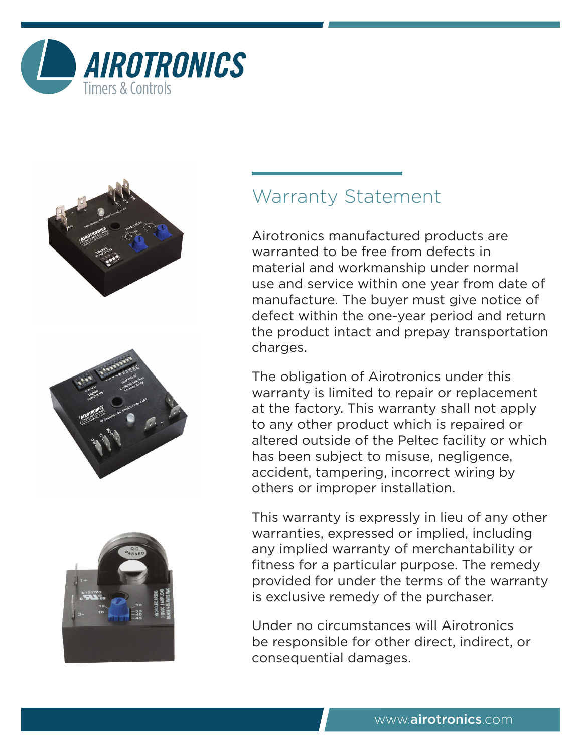



## Warranty Statement

Airotronics manufactured products are warranted to be free from defects in material and workmanship under normal use and service within one year from date of manufacture. The buyer must give notice of defect within the one-year period and return the product intact and prepay transportation charges.

The obligation of Airotronics under this warranty is limited to repair or replacement at the factory. This warranty shall not apply to any other product which is repaired or altered outside of the Peltec facility or which has been subject to misuse, negligence, accident, tampering, incorrect wiring by others or improper installation.

This warranty is expressly in lieu of any other warranties, expressed or implied, including any implied warranty of merchantability or fitness for a particular purpose. The remedy provided for under the terms of the warranty is exclusive remedy of the purchaser.

Under no circumstances will Airotronics be responsible for other direct, indirect, or consequential damages.